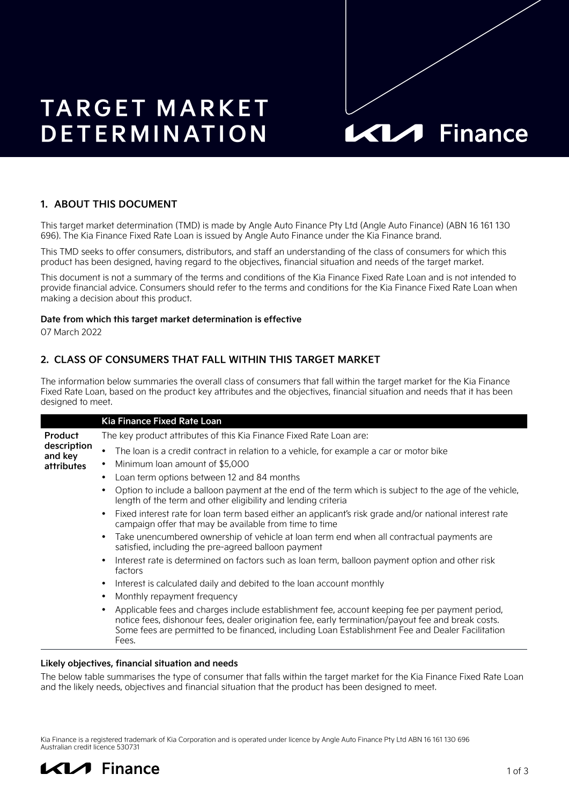# **TARGET MARKET DETERMINATION**

# **KIA** Finance

# **1. ABOUT THIS DOCUMENT**

This target market determination (TMD) is made by Angle Auto Finance Pty Ltd (Angle Auto Finance) (ABN 16 161 130 696). The Kia Finance Fixed Rate Loan is issued by Angle Auto Finance under the Kia Finance brand.

This TMD seeks to offer consumers, distributors, and staff an understanding of the class of consumers for which this product has been designed, having regard to the objectives, financial situation and needs of the target market.

This document is not a summary of the terms and conditions of the Kia Finance Fixed Rate Loan and is not intended to provide financial advice. Consumers should refer to the terms and conditions for the Kia Finance Fixed Rate Loan when making a decision about this product.

#### **Date from which this target market determination is effective**

07 March 2022

# **2. CLASS OF CONSUMERS THAT FALL WITHIN THIS TARGET MARKET**

The information below summaries the overall class of consumers that fall within the target market for the Kia Finance Fixed Rate Loan, based on the product key attributes and the objectives, financial situation and needs that it has been designed to meet.

|                                                        | Kia Finance Fixed Rate Loan                                                                                                                                                                                                                                                                                       |
|--------------------------------------------------------|-------------------------------------------------------------------------------------------------------------------------------------------------------------------------------------------------------------------------------------------------------------------------------------------------------------------|
| <b>Product</b><br>description<br>and key<br>attributes | The key product attributes of this Kia Finance Fixed Rate Loan are:                                                                                                                                                                                                                                               |
|                                                        | The loan is a credit contract in relation to a vehicle, for example a car or motor bike                                                                                                                                                                                                                           |
|                                                        | Minimum loan amount of \$5,000                                                                                                                                                                                                                                                                                    |
|                                                        | Loan term options between 12 and 84 months                                                                                                                                                                                                                                                                        |
|                                                        | Option to include a balloon payment at the end of the term which is subject to the age of the vehicle,<br>length of the term and other eligibility and lending criteria                                                                                                                                           |
|                                                        | Fixed interest rate for loan term based either an applicant's risk grade and/or national interest rate<br>$\bullet$<br>campaign offer that may be available from time to time                                                                                                                                     |
|                                                        | Take unencumbered ownership of vehicle at loan term end when all contractual payments are<br>satisfied, including the pre-agreed balloon payment                                                                                                                                                                  |
|                                                        | Interest rate is determined on factors such as loan term, balloon payment option and other risk<br>factors                                                                                                                                                                                                        |
|                                                        | Interest is calculated daily and debited to the loan account monthly                                                                                                                                                                                                                                              |
|                                                        | Monthly repayment frequency<br>٠                                                                                                                                                                                                                                                                                  |
|                                                        | Applicable fees and charges include establishment fee, account keeping fee per payment period,<br>notice fees, dishonour fees, dealer origination fee, early termination/payout fee and break costs.<br>Some fees are permitted to be financed, including Loan Establishment Fee and Dealer Facilitation<br>Fees. |
|                                                        |                                                                                                                                                                                                                                                                                                                   |

#### **Likely objectives, financial situation and needs**

The below table summarises the type of consumer that falls within the target market for the Kia Finance Fixed Rate Loan and the likely needs, objectives and financial situation that the product has been designed to meet.

Kia Finance is a registered trademark of Kia Corporation and is operated under licence by Angle Auto Finance Pty Ltd ABN 16 161 130 696 Australian credit licence 530731

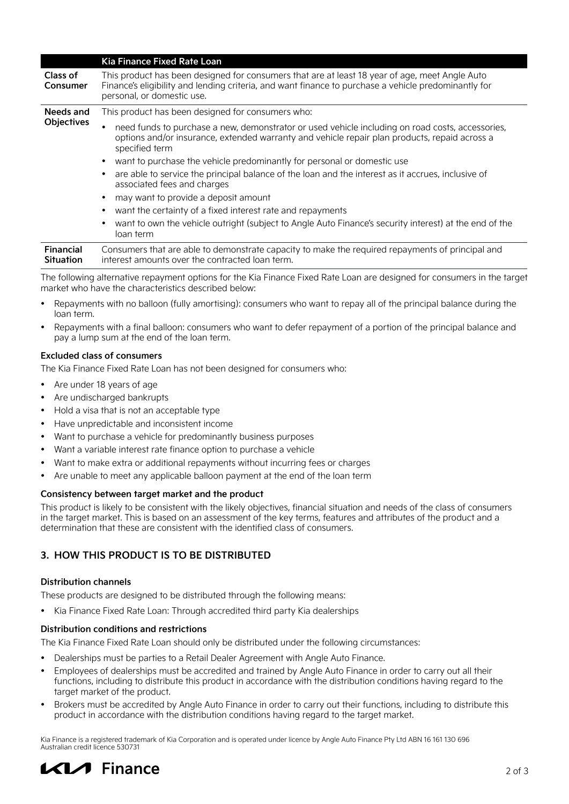|                                      | Kia Finance Fixed Rate Loan                                                                                                                                                                                                          |
|--------------------------------------|--------------------------------------------------------------------------------------------------------------------------------------------------------------------------------------------------------------------------------------|
| Class of<br><b>Consumer</b>          | This product has been designed for consumers that are at least 18 year of age, meet Angle Auto<br>Finance's eligibility and lending criteria, and want finance to purchase a vehicle predominantly for<br>personal, or domestic use. |
| Needs and<br><b>Objectives</b>       | This product has been designed for consumers who:                                                                                                                                                                                    |
|                                      | need funds to purchase a new, demonstrator or used vehicle including on road costs, accessories,<br>options and/or insurance, extended warranty and vehicle repair plan products, repaid across a<br>specified term                  |
|                                      | want to purchase the vehicle predominantly for personal or domestic use<br>$\bullet$                                                                                                                                                 |
|                                      | are able to service the principal balance of the loan and the interest as it accrues, inclusive of<br>٠<br>associated fees and charges                                                                                               |
|                                      | may want to provide a deposit amount<br>$\bullet$                                                                                                                                                                                    |
|                                      | want the certainty of a fixed interest rate and repayments<br>٠                                                                                                                                                                      |
|                                      | want to own the vehicle outright (subject to Angle Auto Finance's security interest) at the end of the<br>$\bullet$<br>loan term                                                                                                     |
| <b>Financial</b><br><b>Situation</b> | Consumers that are able to demonstrate capacity to make the required repayments of principal and<br>interest amounts over the contracted loan term.                                                                                  |

The following alternative repayment options for the Kia Finance Fixed Rate Loan are designed for consumers in the target market who have the characteristics described below:

- Repayments with no balloon (fully amortising): consumers who want to repay all of the principal balance during the loan term.
- Repayments with a final balloon: consumers who want to defer repayment of a portion of the principal balance and pay a lump sum at the end of the loan term.

#### **Excluded class of consumers**

The Kia Finance Fixed Rate Loan has not been designed for consumers who:

- Are under 18 years of age
- Are undischarged bankrupts
- Hold a visa that is not an acceptable type
- Have unpredictable and inconsistent income
- Want to purchase a vehicle for predominantly business purposes
- Want a variable interest rate finance option to purchase a vehicle
- Want to make extra or additional repayments without incurring fees or charges
- Are unable to meet any applicable balloon payment at the end of the loan term

#### **Consistency between target market and the product**

This product is likely to be consistent with the likely objectives, financial situation and needs of the class of consumers in the target market. This is based on an assessment of the key terms, features and attributes of the product and a determination that these are consistent with the identified class of consumers.

# **3. HOW THIS PRODUCT IS TO BE DISTRIBUTED**

#### **Distribution channels**

These products are designed to be distributed through the following means:

• Kia Finance Fixed Rate Loan: Through accredited third party Kia dealerships

#### **Distribution conditions and restrictions**

The Kia Finance Fixed Rate Loan should only be distributed under the following circumstances:

- Dealerships must be parties to a Retail Dealer Agreement with Angle Auto Finance.
- Employees of dealerships must be accredited and trained by Angle Auto Finance in order to carry out all their functions, including to distribute this product in accordance with the distribution conditions having regard to the target market of the product.
- Brokers must be accredited by Angle Auto Finance in order to carry out their functions, including to distribute this product in accordance with the distribution conditions having regard to the target market.

Kia Finance is a registered trademark of Kia Corporation and is operated under licence by Angle Auto Finance Pty Ltd ABN 16 161 130 696 Australian credit licence 530731